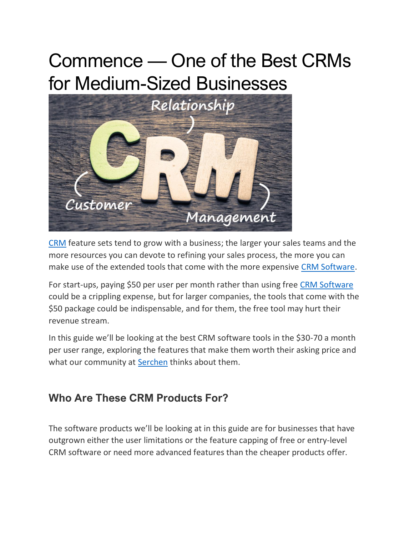# Commence — One of the Best CRMs for Medium-Sized Businesses



[CRM](https://www.serchen.com/category/crm-software/) feature sets tend to grow with a business; the larger your sales teams and the more resources you can devote to refining your sales process, the more you can make use of the extended tools that come with the more expensive [CRM Software.](https://www.serchen.com/category/crm-software/)

For start-ups, paying \$50 per user per month rather than using free [CRM Software](https://www.serchen.com/category/crm-software/) could be a crippling expense, but for larger companies, the tools that come with the \$50 package could be indispensable, and for them, the free tool may hurt their revenue stream.

In this guide we'll be looking at the best CRM software tools in the \$30-70 a month per user range, exploring the features that make them worth their asking price and what our community at [Serchen](https://www.serchen.com/) thinks about them.

# **Who Are These CRM Products For?**

The software products we'll be looking at in this guide are for businesses that have outgrown either the user limitations or the feature capping of free or entry-level CRM software or need more advanced features than the cheaper products offer.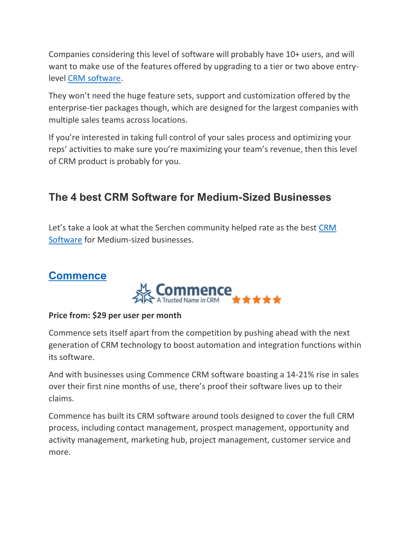Companies considering this level of software will probably have 10+ users, and will want to make use of the features offered by upgrading to a tier or two above entrylevel [CRM software.](https://www.serchen.com/category/crm-software/)

They won't need the huge feature sets, support and customization offered by the enterprise-tier packages though, which are designed for the largest companies with multiple sales teams across locations.

If you're interested in taking full control of your sales process and optimizing your reps' activities to make sure you're maximizing your team's revenue, then this level of CRM product is probably for you.

# **The 4 best CRM Software for Medium-Sized Businesses**

Let's take a look at what the Serchen community helped rate as the best [CRM](https://www.serchen.com/category/crm-software/)  [Software](https://www.serchen.com/category/crm-software/) for Medium-sized businesses.

## **[Commence](https://commence.com/)**



#### **Price from: \$29 per user per month**

Commence sets itself apart from the competition by pushing ahead with the next generation of CRM technology to boost automation and integration functions within its software.

And with businesses using Commence CRM software boasting a 14-21% rise in sales over their first nine months of use, there's proof their software lives up to their claims.

Commence has built its CRM software around tools designed to cover the full CRM process, including contact management, prospect management, opportunity and activity management, marketing hub, project management, customer service and more.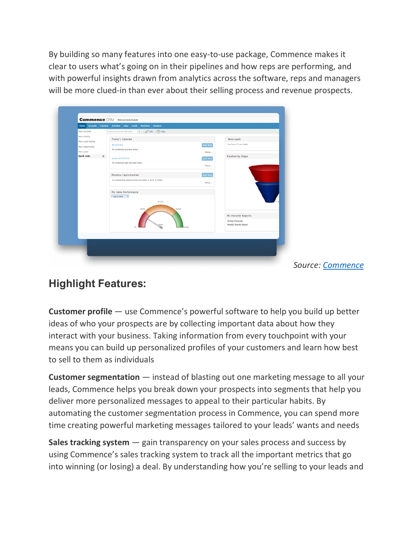By building so many features into one easy-to-use package, Commence makes it clear to users what's going on in their pipelines and how reps are performing, and with powerful insights drawn from analytics across the software, reps and managers will be more clued-in than ever about their selling process and revenue prospects.

| New Account                         | $O$ Edit $O$ Help<br>Search for Account information. Q    |                |                        |
|-------------------------------------|-----------------------------------------------------------|----------------|------------------------|
| New Activity                        | Today's Calendar                                          |                | New Leads              |
| New Lead Activity                   |                                                           |                | You have 17 new leads  |
| New Opportunity                     | <b>Activities</b>                                         | Add New        |                        |
| New Lead                            | No scheduled activities today.                            | More           |                        |
| <b>Quick Links</b><br>$\rightarrow$ | <b>Lead Activities</b>                                    | <b>Add New</b> | Pipeline by Stage      |
|                                     | No scheduled lead activities today.                       |                |                        |
|                                     |                                                           | More           |                        |
|                                     | Pending Opportunities                                     | Add New        |                        |
|                                     | No outstanding opportunities due today or prior to today. |                |                        |
|                                     |                                                           | More           |                        |
|                                     |                                                           |                |                        |
|                                     | My Sales Performance                                      |                |                        |
|                                     | Year to Date T                                            |                |                        |
|                                     | \$100K                                                    |                |                        |
|                                     | \$50K<br>\$150K                                           |                |                        |
|                                     |                                                           |                | My Favorite Reports    |
|                                     |                                                           |                | 30 Day Forecast        |
|                                     |                                                           |                | Weekly Activity Report |
|                                     |                                                           | 2008           |                        |
|                                     |                                                           |                |                        |
|                                     |                                                           |                |                        |

*Source: [Commence](https://commence.com/take-test-drive/)*

## **Highlight Features:**

**Customer profile** — use Commence's powerful software to help you build up better ideas of who your prospects are by collecting important data about how they interact with your business. Taking information from every touchpoint with your means you can build up personalized profiles of your customers and learn how best to sell to them as individuals

**Customer segmentation** — instead of blasting out one marketing message to all your leads, Commence helps you break down your prospects into segments that help you deliver more personalized messages to appeal to their particular habits. By automating the customer segmentation process in Commence, you can spend more time creating powerful marketing messages tailored to your leads' wants and needs

**Sales tracking system** — gain transparency on your sales process and success by using Commence's sales tracking system to track all the important metrics that go into winning (or losing) a deal. By understanding how you're selling to your leads and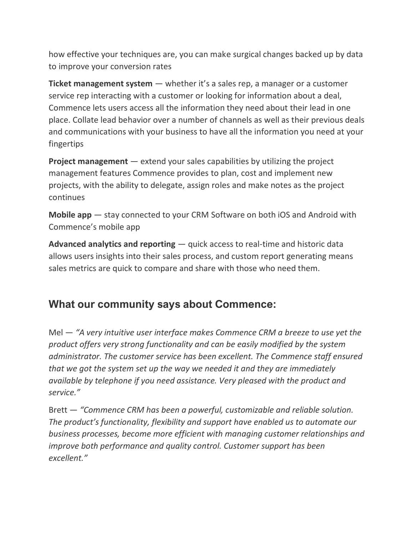how effective your techniques are, you can make surgical changes backed up by data to improve your conversion rates

**Ticket management system** — whether it's a sales rep, a manager or a customer service rep interacting with a customer or looking for information about a deal, Commence lets users access all the information they need about their lead in one place. Collate lead behavior over a number of channels as well as their previous deals and communications with your business to have all the information you need at your fingertips

**Project management** — extend your sales capabilities by utilizing the project management features Commence provides to plan, cost and implement new projects, with the ability to delegate, assign roles and make notes as the project continues

**Mobile app** — stay connected to your CRM Software on both iOS and Android with Commence's mobile app

**Advanced analytics and reporting** — quick access to real-time and historic data allows users insights into their sales process, and custom report generating means sales metrics are quick to compare and share with those who need them.

## **What our community says about [Commence:](https://www.serchen.com/company/commence/)**

Mel — *"A very intuitive user interface makes Commence CRM a breeze to use yet the product offers very strong functionality and can be easily modified by the system administrator. The customer service has been excellent. The Commence staff ensured that we got the system set up the way we needed it and they are immediately available by telephone if you need assistance. Very pleased with the product and service."*

Brett — *"Commence CRM has been a powerful, customizable and reliable solution. The product's functionality, flexibility and support have enabled us to automate our business processes, become more efficient with managing customer relationships and improve both performance and quality control. Customer support has been excellent."*